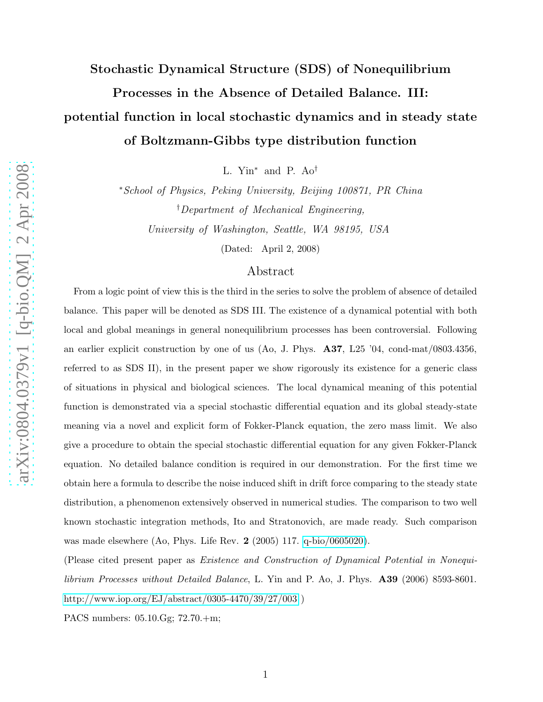# Stochastic Dynamical Structure (SDS) of Nonequilibrium Processes in the Absence of Detailed Balance. III: potential function in local stochastic dynamics and in steady state of Boltzmann-Gibbs type distribution function

L. Yin<sup>∗</sup> and P. Ao†

<sup>∗</sup>School of Physics, Peking University, Beijing 100871, PR China †Department of Mechanical Engineering, University of Washington, Seattle, WA 98195, USA

(Dated: April 2, 2008)

# Abstract

From a logic point of view this is the third in the series to solve the problem of absence of detailed balance. This paper will be denoted as SDS III. The existence of a dynamical potential with both local and global meanings in general nonequilibrium processes has been controversial. Following an earlier explicit construction by one of us (Ao, J. Phys. A37, L25 '04, cond-mat/0803.4356, referred to as SDS II), in the present paper we show rigorously its existence for a generic class of situations in physical and biological sciences. The local dynamical meaning of this potential function is demonstrated via a special stochastic differential equation and its global steady-state meaning via a novel and explicit form of Fokker-Planck equation, the zero mass limit. We also give a procedure to obtain the special stochastic differential equation for any given Fokker-Planck equation. No detailed balance condition is required in our demonstration. For the first time we obtain here a formula to describe the noise induced shift in drift force comparing to the steady state distribution, a phenomenon extensively observed in numerical studies. The comparison to two well known stochastic integration methods, Ito and Stratonovich, are made ready. Such comparison was made elsewhere (Ao, Phys. Life Rev. 2 (2005) 117. [q-bio/0605020\)](http://arxiv.org/abs/q-bio/0605020).

(Please cited present paper as Existence and Construction of Dynamical Potential in Nonequilibrium Processes without Detailed Balance, L. Yin and P. Ao, J. Phys. A39 (2006) 8593-8601. <http://www.iop.org/EJ/abstract/0305-4470/39/27/003> )

PACS numbers: 05.10.Gg; 72.70.+m;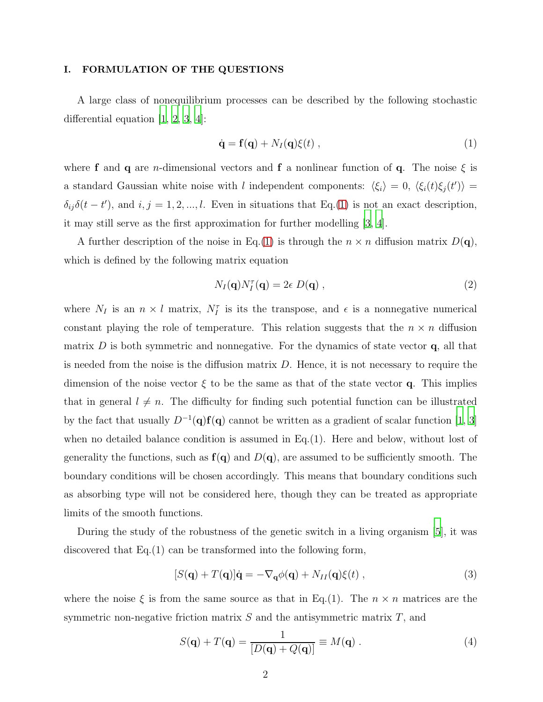## I. FORMULATION OF THE QUESTIONS

A large class of nonequilibrium processes can be described by the following stochastic differential equation  $[1, 2, 3, 4]$  $[1, 2, 3, 4]$  $[1, 2, 3, 4]$  $[1, 2, 3, 4]$  $[1, 2, 3, 4]$  $[1, 2, 3, 4]$ :

<span id="page-1-0"></span>
$$
\dot{\mathbf{q}} = \mathbf{f}(\mathbf{q}) + N_I(\mathbf{q})\xi(t) , \qquad (1)
$$

where **f** and **q** are *n*-dimensional vectors and **f** a nonlinear function of **q**. The noise  $\xi$  is a standard Gaussian white noise with l independent components:  $\langle \xi_i \rangle = 0, \langle \xi_i(t) \xi_j(t') \rangle =$  $\delta_{ij}\delta(t-t')$ , and  $i, j = 1, 2, ..., l$ . Even in situations that Eq.[\(1\)](#page-1-0) is not an exact description, it may still serve as the first approximation for further modelling [\[3,](#page-10-2) [4\]](#page-11-0).

A further description of the noise in Eq.[\(1\)](#page-1-0) is through the  $n \times n$  diffusion matrix  $D(\mathbf{q})$ , which is defined by the following matrix equation

$$
N_I(\mathbf{q})N_I^{\tau}(\mathbf{q}) = 2\epsilon D(\mathbf{q}), \qquad (2)
$$

where  $N_I$  is an  $n \times l$  matrix,  $N_I^{\tau}$  is its the transpose, and  $\epsilon$  is a nonnegative numerical constant playing the role of temperature. This relation suggests that the  $n \times n$  diffusion matrix  $D$  is both symmetric and nonnegative. For the dynamics of state vector  $\bf{q}$ , all that is needed from the noise is the diffusion matrix  $D$ . Hence, it is not necessary to require the dimension of the noise vector  $\xi$  to be the same as that of the state vector q. This implies that in general  $l \neq n$ . The difficulty for finding such potential function can be illustrated by the fact that usually  $D^{-1}(\mathbf{q})\mathbf{f}(\mathbf{q})$  cannot be written as a gradient of scalar function [\[1](#page-10-0), [3\]](#page-10-2) when no detailed balance condition is assumed in  $Eq.(1)$ . Here and below, without lost of generality the functions, such as  $f(q)$  and  $D(q)$ , are assumed to be sufficiently smooth. The boundary conditions will be chosen accordingly. This means that boundary conditions such as absorbing type will not be considered here, though they can be treated as appropriate limits of the smooth functions.

During the study of the robustness of the genetic switch in a living organism [\[5](#page-11-1)], it was discovered that Eq.(1) can be transformed into the following form,

<span id="page-1-1"></span>
$$
[S(\mathbf{q}) + T(\mathbf{q})]\dot{\mathbf{q}} = -\nabla_{\mathbf{q}}\phi(\mathbf{q}) + N_{II}(\mathbf{q})\xi(t) , \qquad (3)
$$

where the noise  $\xi$  is from the same source as that in Eq.(1). The  $n \times n$  matrices are the symmetric non-negative friction matrix  $S$  and the antisymmetric matrix  $T$ , and

$$
S(\mathbf{q}) + T(\mathbf{q}) = \frac{1}{[D(\mathbf{q}) + Q(\mathbf{q})]} \equiv M(\mathbf{q}).
$$
\n(4)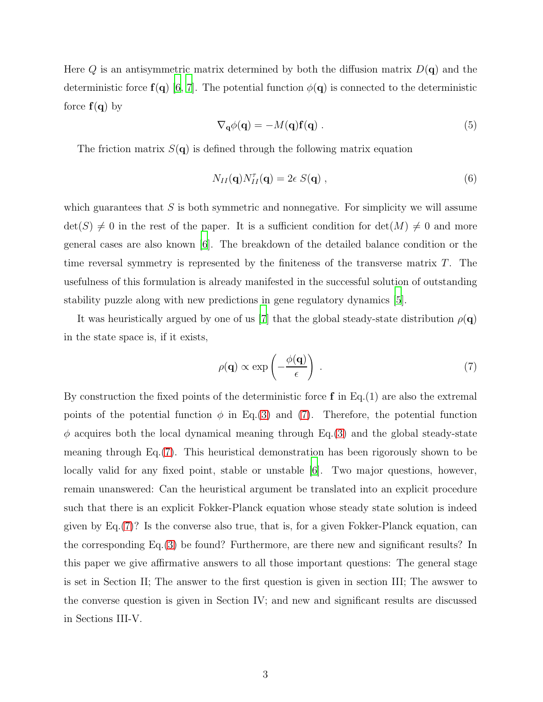Here Q is an antisymmetric matrix determined by both the diffusion matrix  $D(\mathbf{q})$  and the deterministic force  $f(q)$  [\[6,](#page-11-2) [7](#page-11-3)]. The potential function  $\phi(q)$  is connected to the deterministic force  $f(q)$  by

$$
\nabla_{\mathbf{q}} \phi(\mathbf{q}) = -M(\mathbf{q}) \mathbf{f}(\mathbf{q}) . \tag{5}
$$

The friction matrix  $S(q)$  is defined through the following matrix equation

$$
N_{II}(\mathbf{q})N_{II}^{\tau}(\mathbf{q})=2\epsilon S(\mathbf{q}),\qquad(6)
$$

which guarantees that  $S$  is both symmetric and nonnegative. For simplicity we will assume  $\det(S) \neq 0$  in the rest of the paper. It is a sufficient condition for  $\det(M) \neq 0$  and more general cases are also known [\[6](#page-11-2)]. The breakdown of the detailed balance condition or the time reversal symmetry is represented by the finiteness of the transverse matrix T. The usefulness of this formulation is already manifested in the successful solution of outstanding stability puzzle along with new predictions in gene regulatory dynamics [\[5\]](#page-11-1).

It was heuristically argued by one of us [\[7](#page-11-3)] that the global steady-state distribution  $\rho(\mathbf{q})$ in the state space is, if it exists,

<span id="page-2-0"></span>
$$
\rho(\mathbf{q}) \propto \exp\left(-\frac{\phi(\mathbf{q})}{\epsilon}\right) \ . \tag{7}
$$

By construction the fixed points of the deterministic force  $f$  in Eq.(1) are also the extremal points of the potential function  $\phi$  in Eq.[\(3\)](#page-1-1) and [\(7\)](#page-2-0). Therefore, the potential function  $\phi$  acquires both the local dynamical meaning through Eq.[\(3\)](#page-1-1) and the global steady-state meaning through Eq.[\(7\)](#page-2-0). This heuristical demonstration has been rigorously shown to be locally valid for any fixed point, stable or unstable [\[6\]](#page-11-2). Two major questions, however, remain unanswered: Can the heuristical argument be translated into an explicit procedure such that there is an explicit Fokker-Planck equation whose steady state solution is indeed given by Eq.[\(7\)](#page-2-0)? Is the converse also true, that is, for a given Fokker-Planck equation, can the corresponding Eq.[\(3\)](#page-1-1) be found? Furthermore, are there new and significant results? In this paper we give affirmative answers to all those important questions: The general stage is set in Section II; The answer to the first question is given in section III; The awswer to the converse question is given in Section IV; and new and significant results are discussed in Sections III-V.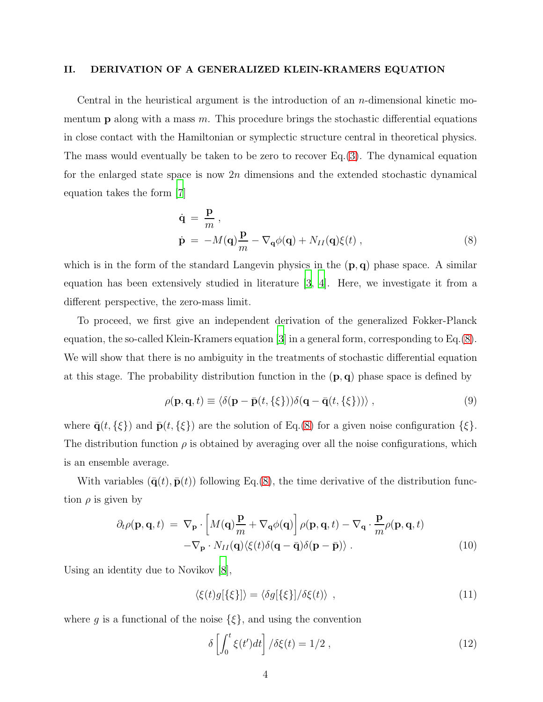#### II. DERIVATION OF A GENERALIZED KLEIN-KRAMERS EQUATION

Central in the heuristical argument is the introduction of an n-dimensional kinetic momentum **p** along with a mass  $m$ . This procedure brings the stochastic differential equations in close contact with the Hamiltonian or symplectic structure central in theoretical physics. The mass would eventually be taken to be zero to recover Eq.[\(3\)](#page-1-1). The dynamical equation for the enlarged state space is now  $2n$  dimensions and the extended stochastic dynamical equation takes the form [\[7\]](#page-11-3)

<span id="page-3-0"></span>
$$
\dot{\mathbf{q}} = \frac{\mathbf{p}}{m},
$$
\n
$$
\dot{\mathbf{p}} = -M(\mathbf{q})\frac{\mathbf{p}}{m} - \nabla_{\mathbf{q}}\phi(\mathbf{q}) + N_{II}(\mathbf{q})\xi(t),
$$
\n(8)

which is in the form of the standard Langevin physics in the  $(p, q)$  phase space. A similar equation has been extensively studied in literature [\[3](#page-10-2), [4\]](#page-11-0). Here, we investigate it from a different perspective, the zero-mass limit.

To proceed, we first give an independent derivation of the generalized Fokker-Planck equation, the so-called Klein-Kramers equation [\[3](#page-10-2)] in a general form, corresponding to Eq.[\(8\)](#page-3-0). We will show that there is no ambiguity in the treatments of stochastic differential equation at this stage. The probability distribution function in the  $(p, q)$  phase space is defined by

$$
\rho(\mathbf{p}, \mathbf{q}, t) \equiv \langle \delta(\mathbf{p} - \bar{\mathbf{p}}(t, \{\xi\})) \delta(\mathbf{q} - \bar{\mathbf{q}}(t, \{\xi\}))) \rangle , \qquad (9)
$$

where  $\bar{\mathbf{q}}(t, \{\xi\})$  and  $\bar{\mathbf{p}}(t, \{\xi\})$  are the solution of Eq.[\(8\)](#page-3-0) for a given noise configuration  $\{\xi\}$ . The distribution function  $\rho$  is obtained by averaging over all the noise configurations, which is an ensemble average.

With variables  $(\bar{\mathbf{q}}(t), \bar{\mathbf{p}}(t))$  following Eq.[\(8\)](#page-3-0), the time derivative of the distribution function  $\rho$  is given by

<span id="page-3-1"></span>
$$
\partial_t \rho(\mathbf{p}, \mathbf{q}, t) = \nabla_{\mathbf{p}} \cdot \left[ M(\mathbf{q}) \frac{\mathbf{p}}{m} + \nabla_{\mathbf{q}} \phi(\mathbf{q}) \right] \rho(\mathbf{p}, \mathbf{q}, t) - \nabla_{\mathbf{q}} \cdot \frac{\mathbf{p}}{m} \rho(\mathbf{p}, \mathbf{q}, t) - \nabla_{\mathbf{p}} \cdot N_{II}(\mathbf{q}) \langle \xi(t) \delta(\mathbf{q} - \bar{\mathbf{q}}) \delta(\mathbf{p} - \bar{\mathbf{p}}) \rangle . \tag{10}
$$

Using an identity due to Novikov [\[8](#page-11-4)],

$$
\langle \xi(t)g[\{\xi\}]\rangle = \langle \delta g[\{\xi\}]/\delta \xi(t)\rangle \quad , \tag{11}
$$

where g is a functional of the noise  $\{\xi\}$ , and using the convention

$$
\delta \left[ \int_0^t \xi(t')dt \right] / \delta \xi(t) = 1/2 , \qquad (12)
$$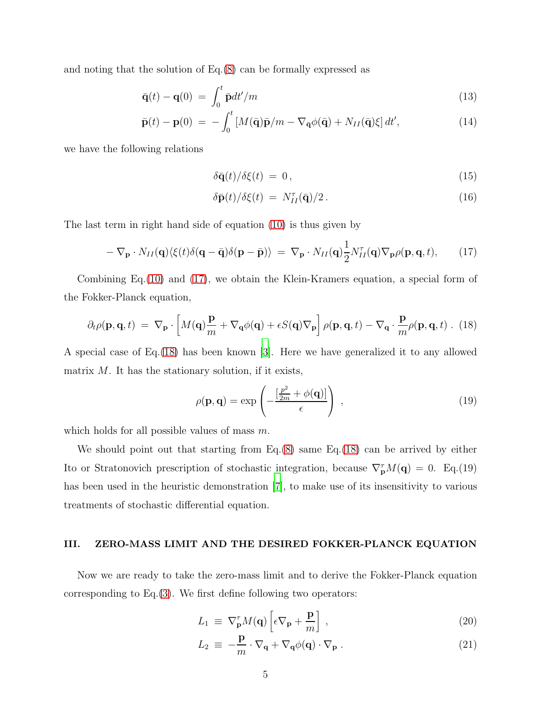and noting that the solution of Eq.[\(8\)](#page-3-0) can be formally expressed as

$$
\bar{\mathbf{q}}(t) - \mathbf{q}(0) = \int_0^t \bar{\mathbf{p}} dt'/m \tag{13}
$$

$$
\bar{\mathbf{p}}(t) - \mathbf{p}(0) = -\int_0^t \left[ M(\bar{\mathbf{q}})\bar{\mathbf{p}}/m - \nabla_{\bar{\mathbf{q}}} \phi(\bar{\mathbf{q}}) + N_{II}(\bar{\mathbf{q}})\xi \right] dt',\tag{14}
$$

we have the following relations

$$
\delta \bar{\mathbf{q}}(t) / \delta \xi(t) = 0, \qquad (15)
$$

$$
\delta \bar{\mathbf{p}}(t) / \delta \xi(t) = N_{II}^{\tau}(\bar{\mathbf{q}}) / 2. \tag{16}
$$

The last term in right hand side of equation [\(10\)](#page-3-1) is thus given by

<span id="page-4-0"></span>
$$
-\nabla_{\mathbf{p}} \cdot N_{II}(\mathbf{q}) \langle \xi(t)\delta(\mathbf{q}-\bar{\mathbf{q}})\delta(\mathbf{p}-\bar{\mathbf{p}}) \rangle = \nabla_{\mathbf{p}} \cdot N_{II}(\mathbf{q}) \frac{1}{2} N_{II}^{\tau}(\mathbf{q}) \nabla_{\mathbf{p}} \rho(\mathbf{p}, \mathbf{q}, t), \quad (17)
$$

Combining Eq.[\(10\)](#page-3-1) and [\(17\)](#page-4-0), we obtain the Klein-Kramers equation, a special form of the Fokker-Planck equation,

<span id="page-4-1"></span>
$$
\partial_t \rho(\mathbf{p}, \mathbf{q}, t) = \nabla_\mathbf{p} \cdot \left[ M(\mathbf{q}) \frac{\mathbf{p}}{m} + \nabla_\mathbf{q} \phi(\mathbf{q}) + \epsilon S(\mathbf{q}) \nabla_\mathbf{p} \right] \rho(\mathbf{p}, \mathbf{q}, t) - \nabla_\mathbf{q} \cdot \frac{\mathbf{p}}{m} \rho(\mathbf{p}, \mathbf{q}, t) \tag{18}
$$

A special case of Eq.[\(18\)](#page-4-1) has been known [\[3](#page-10-2)]. Here we have generalized it to any allowed matrix  $M$ . It has the stationary solution, if it exists,

$$
\rho(\mathbf{p}, \mathbf{q}) = \exp\left(-\frac{\left[\frac{p^2}{2m} + \phi(\mathbf{q})\right]}{\epsilon}\right) \,,\tag{19}
$$

which holds for all possible values of mass m.

We should point out that starting from Eq.[\(8\)](#page-3-0) same Eq.[\(18\)](#page-4-1) can be arrived by either Ito or Stratonovich prescription of stochastic integration, because  $\nabla_{\mathbf{p}}^{\tau}M(\mathbf{q})=0$ . Eq.(19) has been used in the heuristic demonstration [\[7](#page-11-3)], to make use of its insensitivity to various treatments of stochastic differential equation.

#### III. ZERO-MASS LIMIT AND THE DESIRED FOKKER-PLANCK EQUATION

Now we are ready to take the zero-mass limit and to derive the Fokker-Planck equation corresponding to  $Eq.(3)$  $Eq.(3)$ . We first define following two operators:

$$
L_1 \equiv \nabla_{\mathbf{p}}^{\tau} M(\mathbf{q}) \left[ \epsilon \nabla_{\mathbf{p}} + \frac{\mathbf{p}}{m} \right] , \qquad (20)
$$

$$
L_2 \equiv -\frac{\mathbf{p}}{m} \cdot \nabla_{\mathbf{q}} + \nabla_{\mathbf{q}} \phi(\mathbf{q}) \cdot \nabla_{\mathbf{p}} . \tag{21}
$$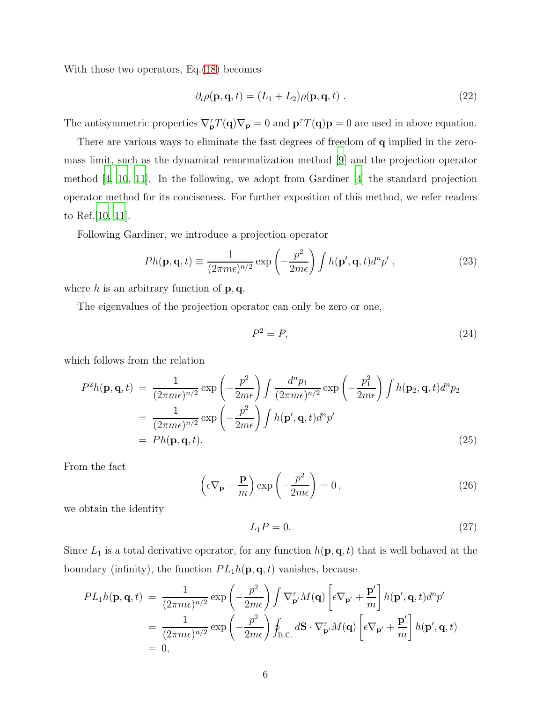With those two operators, Eq.[\(18\)](#page-4-1) becomes

<span id="page-5-0"></span>
$$
\partial_t \rho(\mathbf{p}, \mathbf{q}, t) = (L_1 + L_2) \rho(\mathbf{p}, \mathbf{q}, t) . \tag{22}
$$

The antisymmetric properties  $\nabla_{\mathbf{p}}^{\tau}T(\mathbf{q})\nabla_{\mathbf{p}}=0$  and  $\mathbf{p}^{\tau}T(\mathbf{q})\mathbf{p}=0$  are used in above equation.

There are various ways to eliminate the fast degrees of freedom of **q** implied in the zeromass limit, such as the dynamical renormalization method [\[9\]](#page-11-5) and the projection operator method [\[4,](#page-11-0) [10](#page-11-6), [11](#page-11-7)]. In the following, we adopt from Gardiner [\[4\]](#page-11-0) the standard projection operator method for its conciseness. For further exposition of this method, we refer readers to Ref.[\[10,](#page-11-6) [11\]](#page-11-7).

Following Gardiner, we introduce a projection operator

$$
Ph(\mathbf{p}, \mathbf{q}, t) \equiv \frac{1}{(2\pi m\epsilon)^{n/2}} \exp\left(-\frac{p^2}{2m\epsilon}\right) \int h(\mathbf{p}', \mathbf{q}, t) d^n p', \qquad (23)
$$

where h is an arbitrary function of  $\mathbf{p}, \mathbf{q}$ .

The eigenvalues of the projection operator can only be zero or one,

$$
P^2 = P,\tag{24}
$$

which follows from the relation

$$
P^{2}h(\mathbf{p}, \mathbf{q}, t) = \frac{1}{(2\pi m\epsilon)^{n/2}} \exp\left(-\frac{p^{2}}{2m\epsilon}\right) \int \frac{d^{n}p_{1}}{(2\pi m\epsilon)^{n/2}} \exp\left(-\frac{p_{1}^{2}}{2m\epsilon}\right) \int h(\mathbf{p}_{2}, \mathbf{q}, t) d^{n}p_{2}
$$

$$
= \frac{1}{(2\pi m\epsilon)^{n/2}} \exp\left(-\frac{p^{2}}{2m\epsilon}\right) \int h(\mathbf{p}', \mathbf{q}, t) d^{n}p'
$$

$$
= Ph(\mathbf{p}, \mathbf{q}, t).
$$
(25)

From the fact

$$
\left(\epsilon \nabla_{\mathbf{p}} + \frac{\mathbf{p}}{m}\right) \exp\left(-\frac{p^2}{2m\epsilon}\right) = 0,\tag{26}
$$

we obtain the identity

$$
L_1 P = 0.\t\t(27)
$$

Since  $L_1$  is a total derivative operator, for any function  $h(\mathbf{p}, \mathbf{q}, t)$  that is well behaved at the boundary (infinity), the function  $PL_1h(\mathbf{p}, \mathbf{q}, t)$  vanishes, because

$$
PL_1h(\mathbf{p}, \mathbf{q}, t) = \frac{1}{(2\pi m\epsilon)^{n/2}} \exp\left(-\frac{p^2}{2m\epsilon}\right) \int \nabla_{\mathbf{p}'}^{\tau} M(\mathbf{q}) \left[\epsilon \nabla_{\mathbf{p}'} + \frac{\mathbf{p}'}{m}\right] h(\mathbf{p}', \mathbf{q}, t) d^n p'
$$
  
= 
$$
\frac{1}{(2\pi m\epsilon)^{n/2}} \exp\left(-\frac{p^2}{2m\epsilon}\right) \oint_{B.C.} d\mathbf{S} \cdot \nabla_{\mathbf{p}'}^{\tau} M(\mathbf{q}) \left[\epsilon \nabla_{\mathbf{p}'} + \frac{\mathbf{p}'}{m}\right] h(\mathbf{p}', \mathbf{q}, t)
$$
  
= 0,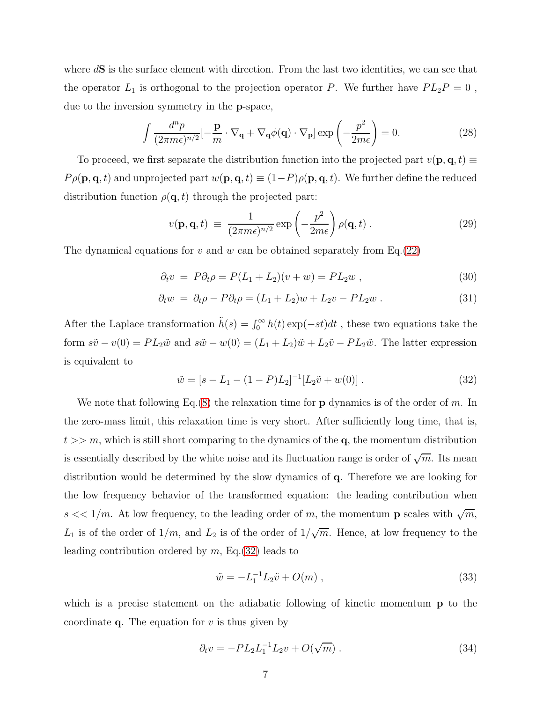where  $d\mathbf{S}$  is the surface element with direction. From the last two identities, we can see that the operator  $L_1$  is orthogonal to the projection operator P. We further have  $PL_2P = 0$ , due to the inversion symmetry in the p-space,

$$
\int \frac{d^n p}{(2\pi m\epsilon)^{n/2}} \left[ -\frac{\mathbf{p}}{m} \cdot \nabla_{\mathbf{q}} + \nabla_{\mathbf{q}} \phi(\mathbf{q}) \cdot \nabla_{\mathbf{p}} \right] \exp\left( -\frac{p^2}{2m\epsilon} \right) = 0.
$$
 (28)

To proceed, we first separate the distribution function into the projected part  $v(\mathbf{p}, \mathbf{q}, t) \equiv$  $P \rho(\mathbf{p}, \mathbf{q}, t)$  and unprojected part  $w(\mathbf{p}, \mathbf{q}, t) \equiv (1 - P)\rho(\mathbf{p}, \mathbf{q}, t)$ . We further define the reduced distribution function  $\rho(\mathbf{q}, t)$  through the projected part:

<span id="page-6-2"></span>
$$
v(\mathbf{p}, \mathbf{q}, t) \equiv \frac{1}{(2\pi m\epsilon)^{n/2}} \exp\left(-\frac{p^2}{2m\epsilon}\right) \rho(\mathbf{q}, t) . \tag{29}
$$

The dynamical equations for v and w can be obtained separately from Eq.  $(22)$ 

$$
\partial_t v = P \partial_t \rho = P(L_1 + L_2)(v + w) = P L_2 w , \qquad (30)
$$

$$
\partial_t w = \partial_t \rho - P \partial_t \rho = (L_1 + L_2)w + L_2 v - PL_2 w \,. \tag{31}
$$

After the Laplace transformation  $\tilde{h}(s) = \int_0^\infty h(t) \exp(-st) dt$ , these two equations take the form  $s\tilde{v} - v(0) = PL_2\tilde{w}$  and  $s\tilde{w} - w(0) = (L_1 + L_2)\tilde{w} + L_2\tilde{v} - PL_2\tilde{w}$ . The latter expression is equivalent to

<span id="page-6-0"></span>
$$
\tilde{w} = [s - L_1 - (1 - P)L_2]^{-1} [L_2 \tilde{v} + w(0)]. \qquad (32)
$$

We note that following Eq.[\(8\)](#page-3-0) the relaxation time for **p** dynamics is of the order of m. In the zero-mass limit, this relaxation time is very short. After sufficiently long time, that is,  $t >> m$ , which is still short comparing to the dynamics of the q, the momentum distribution is essentially described by the white noise and its fluctuation range is order of  $\sqrt{m}$ . Its mean distribution would be determined by the slow dynamics of q. Therefore we are looking for the low frequency behavior of the transformed equation: the leading contribution when  $s \ll 1/m$ . At low frequency, to the leading order of m, the momentum **p** scales with  $\sqrt{m}$ ,  $L_1$  is of the order of  $1/m$ , and  $L_2$  is of the order of  $1/\sqrt{m}$ . Hence, at low frequency to the leading contribution ordered by  $m$ , Eq. [\(32\)](#page-6-0) leads to

$$
\tilde{w} = -L_1^{-1} L_2 \tilde{v} + O(m) , \qquad (33)
$$

which is a precise statement on the adiabatic following of kinetic momentum **p** to the coordinate  $q$ . The equation for v is thus given by

<span id="page-6-1"></span>
$$
\partial_t v = -PL_2 L_1^{-1} L_2 v + O(\sqrt{m}). \tag{34}
$$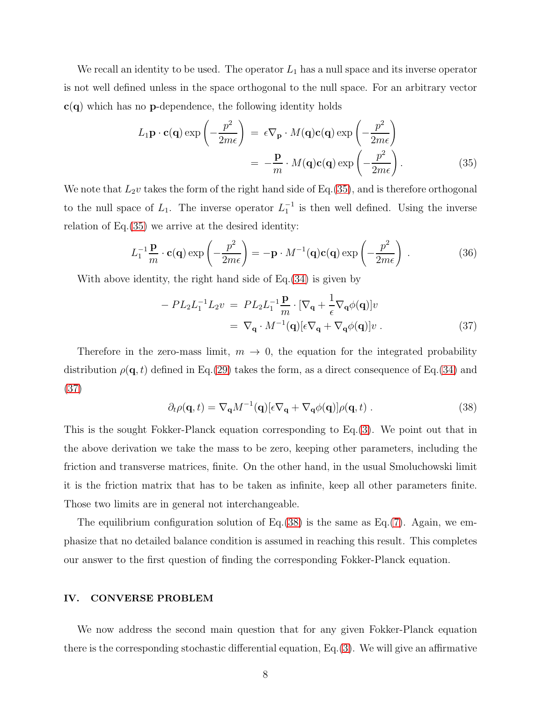We recall an identity to be used. The operator  $L_1$  has a null space and its inverse operator is not well defined unless in the space orthogonal to the null space. For an arbitrary vector  $c(q)$  which has no **p**-dependence, the following identity holds

<span id="page-7-0"></span>
$$
L_1 \mathbf{p} \cdot \mathbf{c}(\mathbf{q}) \exp\left(-\frac{p^2}{2m\epsilon}\right) = \epsilon \nabla_{\mathbf{p}} \cdot M(\mathbf{q}) \mathbf{c}(\mathbf{q}) \exp\left(-\frac{p^2}{2m\epsilon}\right)
$$

$$
= -\frac{\mathbf{p}}{m} \cdot M(\mathbf{q}) \mathbf{c}(\mathbf{q}) \exp\left(-\frac{p^2}{2m\epsilon}\right). \tag{35}
$$

We note that  $L_2v$  takes the form of the right hand side of Eq.[\(35\)](#page-7-0), and is therefore orthogonal to the null space of  $L_1$ . The inverse operator  $L_1^{-1}$  is then well defined. Using the inverse relation of Eq.[\(35\)](#page-7-0) we arrive at the desired identity:

$$
L_1^{-1} \frac{\mathbf{p}}{m} \cdot \mathbf{c}(\mathbf{q}) \exp\left(-\frac{p^2}{2m\epsilon}\right) = -\mathbf{p} \cdot M^{-1}(\mathbf{q}) \mathbf{c}(\mathbf{q}) \exp\left(-\frac{p^2}{2m\epsilon}\right) . \tag{36}
$$

With above identity, the right hand side of Eq.[\(34\)](#page-6-1) is given by

<span id="page-7-1"></span>
$$
-PL_2L_1^{-1}L_2v = PL_2L_1^{-1}\frac{\mathbf{p}}{m} \cdot [\nabla_{\mathbf{q}} + \frac{1}{\epsilon}\nabla_{\mathbf{q}}\phi(\mathbf{q})]v
$$
  

$$
= \nabla_{\mathbf{q}} \cdot M^{-1}(\mathbf{q})[\epsilon \nabla_{\mathbf{q}} + \nabla_{\mathbf{q}}\phi(\mathbf{q})]v.
$$
 (37)

Therefore in the zero-mass limit,  $m \to 0$ , the equation for the integrated probability distribution  $\rho(\mathbf{q}, t)$  defined in Eq.[\(29\)](#page-6-2) takes the form, as a direct consequence of Eq.[\(34\)](#page-6-1) and [\(37\)](#page-7-1)

<span id="page-7-2"></span>
$$
\partial_t \rho(\mathbf{q}, t) = \nabla_\mathbf{q} M^{-1}(\mathbf{q}) [\epsilon \nabla_\mathbf{q} + \nabla_\mathbf{q} \phi(\mathbf{q})] \rho(\mathbf{q}, t) . \tag{38}
$$

This is the sought Fokker-Planck equation corresponding to Eq.[\(3\)](#page-1-1). We point out that in the above derivation we take the mass to be zero, keeping other parameters, including the friction and transverse matrices, finite. On the other hand, in the usual Smoluchowski limit it is the friction matrix that has to be taken as infinite, keep all other parameters finite. Those two limits are in general not interchangeable.

The equilibrium configuration solution of  $Eq.(38)$  $Eq.(38)$  is the same as  $Eq.(7)$  $Eq.(7)$ . Again, we emphasize that no detailed balance condition is assumed in reaching this result. This completes our answer to the first question of finding the corresponding Fokker-Planck equation.

#### IV. CONVERSE PROBLEM

We now address the second main question that for any given Fokker-Planck equation there is the corresponding stochastic differential equation, Eq. $(3)$ . We will give an affirmative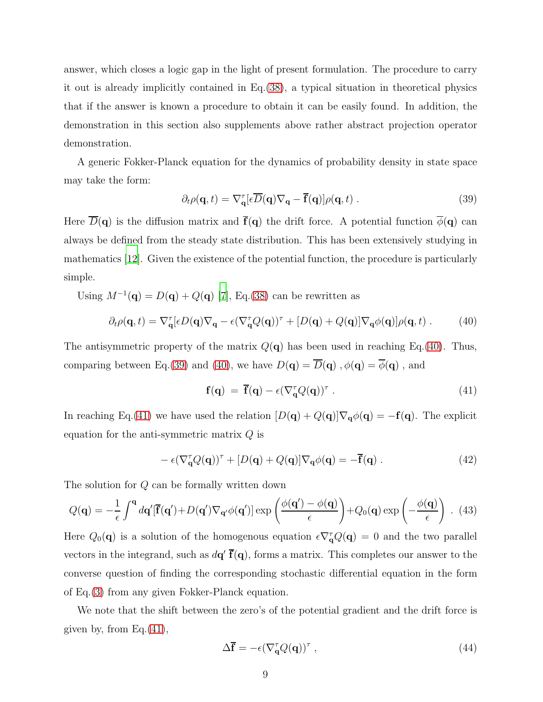answer, which closes a logic gap in the light of present formulation. The procedure to carry it out is already implicitly contained in Eq.[\(38\)](#page-7-2), a typical situation in theoretical physics that if the answer is known a procedure to obtain it can be easily found. In addition, the demonstration in this section also supplements above rather abstract projection operator demonstration.

A generic Fokker-Planck equation for the dynamics of probability density in state space may take the form:

<span id="page-8-1"></span>
$$
\partial_t \rho(\mathbf{q}, t) = \nabla_{\mathbf{q}}^\tau [\epsilon \overline{D}(\mathbf{q}) \nabla_{\mathbf{q}} - \overline{\mathbf{f}}(\mathbf{q})] \rho(\mathbf{q}, t) . \tag{39}
$$

Here  $\overline{D}(\mathbf{q})$  is the diffusion matrix and  $\overline{f}(\mathbf{q})$  the drift force. A potential function  $\overline{\phi}(\mathbf{q})$  can always be defined from the steady state distribution. This has been extensively studying in mathematics [\[12\]](#page-11-8). Given the existence of the potential function, the procedure is particularly simple.

Using  $M^{-1}(\mathbf{q}) = D(\mathbf{q}) + Q(\mathbf{q})$  [\[7\]](#page-11-3), Eq.[\(38\)](#page-7-2) can be rewritten as

<span id="page-8-0"></span>
$$
\partial_t \rho(\mathbf{q}, t) = \nabla_{\mathbf{q}}^\tau [\epsilon D(\mathbf{q}) \nabla_{\mathbf{q}} - \epsilon (\nabla_{\mathbf{q}}^\tau Q(\mathbf{q}))^\tau + [D(\mathbf{q}) + Q(\mathbf{q})] \nabla_{\mathbf{q}} \phi(\mathbf{q})] \rho(\mathbf{q}, t) \,. \tag{40}
$$

The antisymmetric property of the matrix  $Q(\mathbf{q})$  has been used in reaching Eq.[\(40\)](#page-8-0). Thus, comparing between Eq.[\(39\)](#page-8-1) and [\(40\)](#page-8-0), we have  $D(\mathbf{q}) = \overline{D}(\mathbf{q})$ ,  $\phi(\mathbf{q}) = \overline{\phi}(\mathbf{q})$ , and

<span id="page-8-2"></span>
$$
\mathbf{f}(\mathbf{q}) = \overline{\mathbf{f}}(\mathbf{q}) - \epsilon (\nabla_{\mathbf{q}}^{\tau} Q(\mathbf{q}))^{\tau} . \tag{41}
$$

In reaching Eq.[\(41\)](#page-8-2) we have used the relation  $[D(q) + Q(q)]\nabla_q \phi(q) = -f(q)$ . The explicit equation for the anti-symmetric matrix  $Q$  is

$$
- \epsilon (\nabla_{\mathbf{q}}^{\tau} Q(\mathbf{q}))^{\tau} + [D(\mathbf{q}) + Q(\mathbf{q})] \nabla_{\mathbf{q}} \phi(\mathbf{q}) = -\overline{\mathbf{f}}(\mathbf{q}) . \qquad (42)
$$

The solution for Q can be formally written down

$$
Q(\mathbf{q}) = -\frac{1}{\epsilon} \int^{\mathbf{q}} d\mathbf{q}' [\overline{\mathbf{f}}(\mathbf{q}') + D(\mathbf{q}') \nabla_{\mathbf{q}'} \phi(\mathbf{q}')] \exp\left(\frac{\phi(\mathbf{q}') - \phi(\mathbf{q})}{\epsilon}\right) + Q_0(\mathbf{q}) \exp\left(-\frac{\phi(\mathbf{q})}{\epsilon}\right) . \tag{43}
$$

Here  $Q_0(\mathbf{q})$  is a solution of the homogenous equation  $\epsilon \nabla_q^{\tau} Q(\mathbf{q}) = 0$  and the two parallel vectors in the integrand, such as  $d\mathbf{q}' \bar{\mathbf{f}}(\mathbf{q})$ , forms a matrix. This completes our answer to the converse question of finding the corresponding stochastic differential equation in the form of Eq.[\(3\)](#page-1-1) from any given Fokker-Planck equation.

We note that the shift between the zero's of the potential gradient and the drift force is given by, from Eq. $(41)$ ,

<span id="page-8-3"></span>
$$
\Delta \overline{\mathbf{f}} = -\epsilon (\nabla_{\mathbf{q}}^{\tau} Q(\mathbf{q}))^{\tau} , \qquad (44)
$$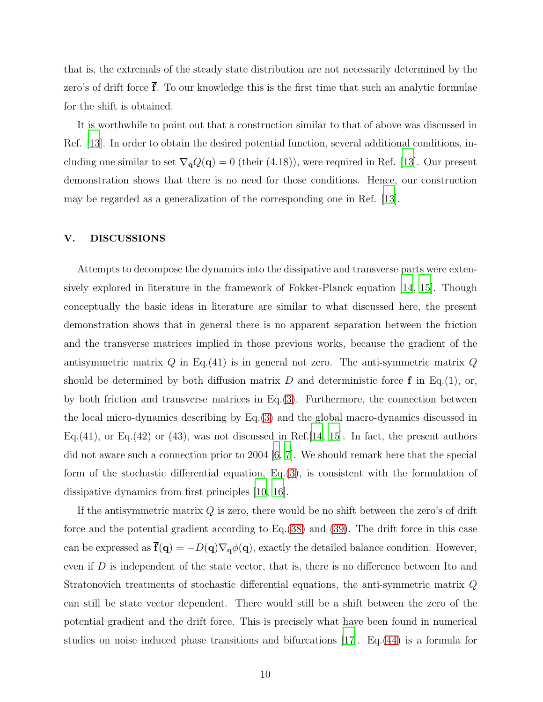that is, the extremals of the steady state distribution are not necessarily determined by the zero's of drift force  $\overline{f}$ . To our knowledge this is the first time that such an analytic formulae for the shift is obtained.

It is worthwhile to point out that a construction similar to that of above was discussed in Ref. [\[13\]](#page-11-9). In order to obtain the desired potential function, several additional conditions, including one similar to set  $\nabla_{\mathbf{q}}Q(\mathbf{q}) = 0$  (their (4.18)), were required in Ref. [\[13\]](#page-11-9). Our present demonstration shows that there is no need for those conditions. Hence, our construction may be regarded as a generalization of the corresponding one in Ref. [\[13\]](#page-11-9).

## V. DISCUSSIONS

Attempts to decompose the dynamics into the dissipative and transverse parts were extensively explored in literature in the framework of Fokker-Planck equation [\[14,](#page-11-10) [15](#page-11-11)]. Though conceptually the basic ideas in literature are similar to what discussed here, the present demonstration shows that in general there is no apparent separation between the friction and the transverse matrices implied in those previous works, because the gradient of the antisymmetric matrix  $Q$  in Eq.(41) is in general not zero. The anti-symmetric matrix  $Q$ should be determined by both diffusion matrix  $D$  and deterministic force  $f$  in Eq.(1), or, by both friction and transverse matrices in Eq. $(3)$ . Furthermore, the connection between the local micro-dynamics describing by Eq.[\(3\)](#page-1-1) and the global macro-dynamics discussed in Eq.(41), or Eq.(42) or (43), was not discussed in Ref. [\[14,](#page-11-10) [15](#page-11-11)]. In fact, the present authors did not aware such a connection prior to 2004 [\[6](#page-11-2), [7\]](#page-11-3). We should remark here that the special form of the stochastic differential equation,  $Eq.(3)$  $Eq.(3)$ , is consistent with the formulation of dissipative dynamics from first principles [\[10,](#page-11-6) [16\]](#page-11-12).

If the antisymmetric matrix  $Q$  is zero, there would be no shift between the zero's of drift force and the potential gradient according to Eq.[\(38\)](#page-7-2) and [\(39\)](#page-8-1). The drift force in this case can be expressed as  $\mathbf{\bar{f}}(\mathbf{q}) = -D(\mathbf{q})\nabla_{\mathbf{q}}\phi(\mathbf{q})$ , exactly the detailed balance condition. However, even if  $D$  is independent of the state vector, that is, there is no difference between Ito and Stratonovich treatments of stochastic differential equations, the anti-symmetric matrix Q can still be state vector dependent. There would still be a shift between the zero of the potential gradient and the drift force. This is precisely what have been found in numerical studies on noise induced phase transitions and bifurcations [\[17\]](#page-11-13). Eq.[\(44\)](#page-8-3) is a formula for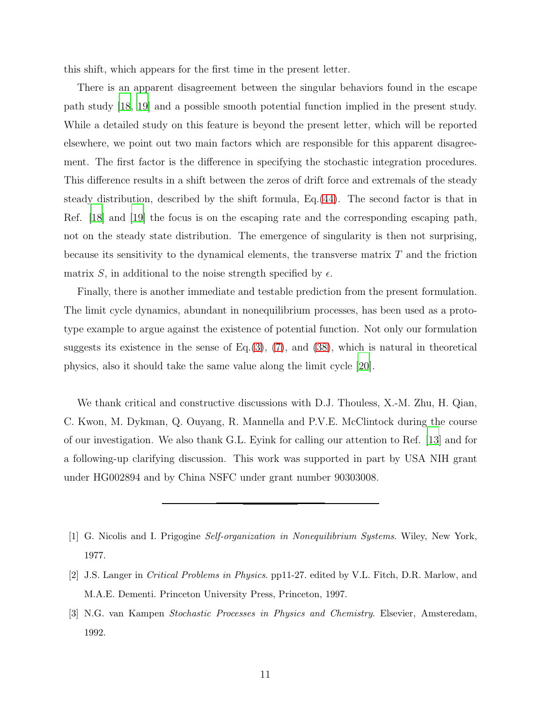this shift, which appears for the first time in the present letter.

There is an apparent disagreement between the singular behaviors found in the escape path study [\[18](#page-11-14), [19\]](#page-11-15) and a possible smooth potential function implied in the present study. While a detailed study on this feature is beyond the present letter, which will be reported elsewhere, we point out two main factors which are responsible for this apparent disagreement. The first factor is the difference in specifying the stochastic integration procedures. This difference results in a shift between the zeros of drift force and extremals of the steady steady distribution, described by the shift formula, Eq.[\(44\)](#page-8-3). The second factor is that in Ref. [\[18\]](#page-11-14) and [\[19](#page-11-15)] the focus is on the escaping rate and the corresponding escaping path, not on the steady state distribution. The emergence of singularity is then not surprising, because its sensitivity to the dynamical elements, the transverse matrix  $T$  and the friction matrix S, in additional to the noise strength specified by  $\epsilon$ .

Finally, there is another immediate and testable prediction from the present formulation. The limit cycle dynamics, abundant in nonequilibrium processes, has been used as a prototype example to argue against the existence of potential function. Not only our formulation suggests its existence in the sense of Eq. $(3)$ ,  $(7)$ , and  $(38)$ , which is natural in theoretical physics, also it should take the same value along the limit cycle [\[20](#page-11-16)].

We thank critical and constructive discussions with D.J. Thouless, X.-M. Zhu, H. Qian, C. Kwon, M. Dykman, Q. Ouyang, R. Mannella and P.V.E. McClintock during the course of our investigation. We also thank G.L. Eyink for calling our attention to Ref. [\[13\]](#page-11-9) and for a following-up clarifying discussion. This work was supported in part by USA NIH grant under HG002894 and by China NSFC under grant number 90303008.

<span id="page-10-0"></span><sup>[1]</sup> G. Nicolis and I. Prigogine Self-organization in Nonequilibrium Systems. Wiley, New York, 1977.

<span id="page-10-1"></span><sup>[2]</sup> J.S. Langer in Critical Problems in Physics. pp11-27. edited by V.L. Fitch, D.R. Marlow, and M.A.E. Dementi. Princeton University Press, Princeton, 1997.

<span id="page-10-2"></span><sup>[3]</sup> N.G. van Kampen Stochastic Processes in Physics and Chemistry. Elsevier, Amsteredam, 1992.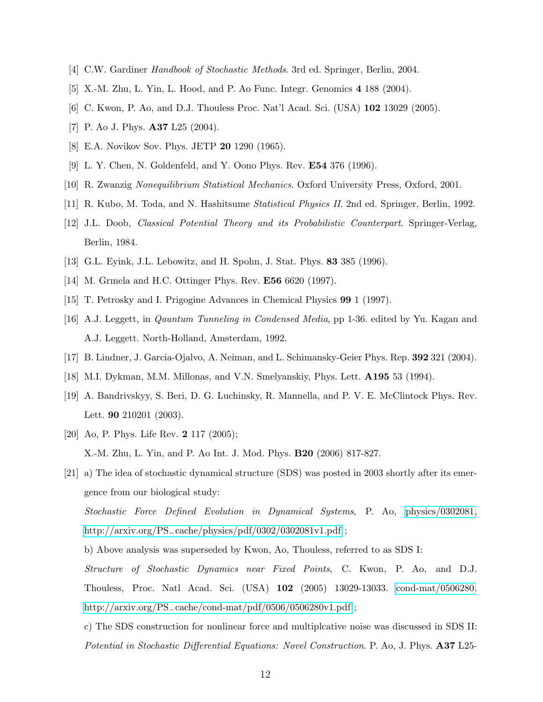- <span id="page-11-1"></span><span id="page-11-0"></span>[4] C.W. Gardiner Handbook of Stochastic Methods. 3rd ed. Springer, Berlin, 2004.
- <span id="page-11-2"></span>[5] X.-M. Zhu, L. Yin, L. Hood, and P. Ao Func. Integr. Genomics 4 188 (2004).
- <span id="page-11-3"></span>[6] C. Kwon, P. Ao, and D.J. Thouless Proc. Nat'l Acad. Sci. (USA) 102 13029 (2005).
- <span id="page-11-4"></span>[7] P. Ao J. Phys. A37 L25 (2004).
- <span id="page-11-5"></span>[8] E.A. Novikov Sov. Phys. JETP 20 1290 (1965).
- [9] L. Y. Chen, N. Goldenfeld, and Y. Oono Phys. Rev. E54 376 (1996).
- <span id="page-11-7"></span><span id="page-11-6"></span>[10] R. Zwanzig Nonequilibrium Statistical Mechanics. Oxford University Press, Oxford, 2001.
- <span id="page-11-8"></span>[11] R. Kubo, M. Toda, and N. Hashitsume Statistical Physics II. 2nd ed. Springer, Berlin, 1992.
- [12] J.L. Doob, Classical Potential Theory and its Probabilistic Counterpart. Springer-Verlag, Berlin, 1984.
- <span id="page-11-10"></span><span id="page-11-9"></span>[13] G.L. Eyink, J.L. Lebowitz, and H. Spohn, J. Stat. Phys. 83 385 (1996).
- <span id="page-11-11"></span>[14] M. Grmela and H.C. Ottinger Phys. Rev. E56 6620 (1997).
- <span id="page-11-12"></span>[15] T. Petrosky and I. Prigogine Advances in Chemical Physics 99 1 (1997).
- [16] A.J. Leggett, in Qauntum Tunneling in Condensed Media, pp 1-36. edited by Yu. Kagan and A.J. Leggett. North-Holland, Amsterdam, 1992.
- <span id="page-11-14"></span><span id="page-11-13"></span>[17] B. Lindner, J. Garcia-Ojalvo, A. Neiman, and L. Schimansky-Geier Phys. Rep. 392 321 (2004).
- [18] M.I. Dykman, M.M. Millonas, and V.N. Smelyanskiy, Phys. Lett. A195 53 (1994).
- <span id="page-11-15"></span>[19] A. Bandrivskyy, S. Beri, D. G. Luchinsky, R. Mannella, and P. V. E. McClintock Phys. Rev. Lett. 90 210201 (2003).
- <span id="page-11-16"></span>[20] Ao, P. Phys. Life Rev. **2** 117 (2005); X.-M. Zhu, L. Yin, and P. Ao Int. J. Mod. Phys. B20 (2006) 817-827.
- [21] a) The idea of stochastic dynamical structure (SDS) was posted in 2003 shortly after its emergence from our biological study:

Stochastic Force Defined Evolution in Dynamical Systems, P. Ao, [physics/0302081,](http://arxiv.org/abs/physics/0302081) http://arxiv.org/PS−[cache/physics/pdf/0302/0302081v1.pdf](http://arxiv.org/PS$_-$cache/physics/pdf/0302/0302081v1.pdf) ;

b) Above analysis was superseded by Kwon, Ao, Thouless, referred to as SDS I:

Structure of Stochastic Dynamics near Fixed Points, C. Kwon, P. Ao, and D.J. Thouless, Proc. Natl Acad. Sci. (USA) 102 (2005) 13029-13033. [cond-mat/0506280.](http://arxiv.org/abs/cond-mat/0506280) http://arxiv.org/PS−[cache/cond-mat/pdf/0506/0506280v1.pdf](http://arxiv.org/PS$_-$cache/cond-mat/pdf/0506/0506280v1.pdf) ;

c) The SDS construction for nonlinear force and multiplcative noise was discussed in SDS II: Potential in Stochastic Differential Equations: Novel Construction. P. Ao, J. Phys. **A37** L25